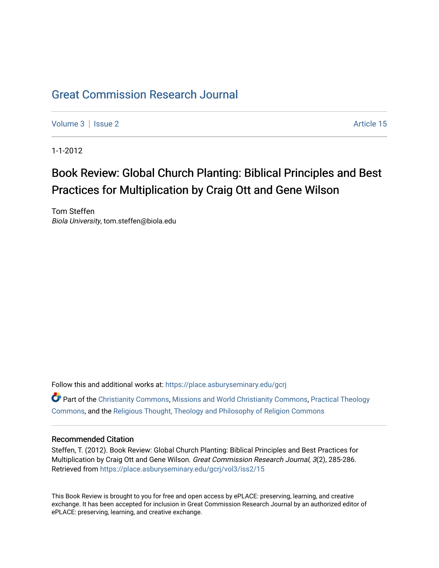## [Great Commission Research Journal](https://place.asburyseminary.edu/gcrj)

[Volume 3](https://place.asburyseminary.edu/gcrj/vol3) | [Issue 2](https://place.asburyseminary.edu/gcrj/vol3/iss2) Article 15

1-1-2012

## Book Review: Global Church Planting: Biblical Principles and Best Practices for Multiplication by Craig Ott and Gene Wilson

Tom Steffen Biola University, tom.steffen@biola.edu

Follow this and additional works at: [https://place.asburyseminary.edu/gcrj](https://place.asburyseminary.edu/gcrj?utm_source=place.asburyseminary.edu%2Fgcrj%2Fvol3%2Fiss2%2F15&utm_medium=PDF&utm_campaign=PDFCoverPages) 

**C** Part of the [Christianity Commons,](http://network.bepress.com/hgg/discipline/1181?utm_source=place.asburyseminary.edu%2Fgcrj%2Fvol3%2Fiss2%2F15&utm_medium=PDF&utm_campaign=PDFCoverPages) [Missions and World Christianity Commons](http://network.bepress.com/hgg/discipline/1187?utm_source=place.asburyseminary.edu%2Fgcrj%2Fvol3%2Fiss2%2F15&utm_medium=PDF&utm_campaign=PDFCoverPages), Practical Theology [Commons](http://network.bepress.com/hgg/discipline/1186?utm_source=place.asburyseminary.edu%2Fgcrj%2Fvol3%2Fiss2%2F15&utm_medium=PDF&utm_campaign=PDFCoverPages), and the [Religious Thought, Theology and Philosophy of Religion Commons](http://network.bepress.com/hgg/discipline/544?utm_source=place.asburyseminary.edu%2Fgcrj%2Fvol3%2Fiss2%2F15&utm_medium=PDF&utm_campaign=PDFCoverPages) 

## Recommended Citation

Steffen, T. (2012). Book Review: Global Church Planting: Biblical Principles and Best Practices for Multiplication by Craig Ott and Gene Wilson. Great Commission Research Journal, 3(2), 285-286. Retrieved from [https://place.asburyseminary.edu/gcrj/vol3/iss2/15](https://place.asburyseminary.edu/gcrj/vol3/iss2/15?utm_source=place.asburyseminary.edu%2Fgcrj%2Fvol3%2Fiss2%2F15&utm_medium=PDF&utm_campaign=PDFCoverPages)

This Book Review is brought to you for free and open access by ePLACE: preserving, learning, and creative exchange. It has been accepted for inclusion in Great Commission Research Journal by an authorized editor of ePLACE: preserving, learning, and creative exchange.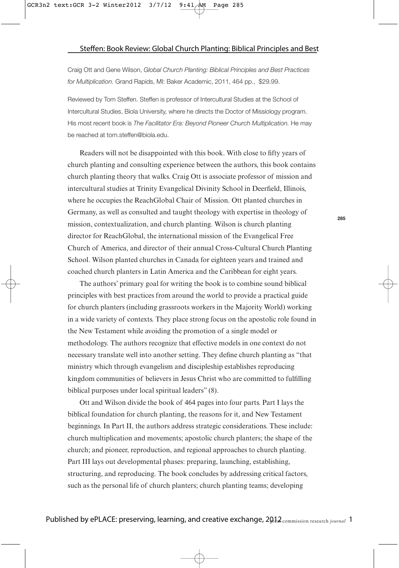Craig Ott and Gene Wilson, Global Church Planting: Biblical Principles and Best Practices for Multiplication. Grand Rapids, MI: Baker Academic, 2011, 464 pp., \$29.99.

Reviewed by Tom Steffen. Steffen is professor of Intercultural Studies at the School of Intercultural Studies, Biola University, where he directs the Doctor of Missiology program. His most recent book is The Facilitator Era: Beyond Pioneer Church Multiplication. He may be reached at tom.steffen@biola.edu.

Readers will not be disappointed with this book. With close to fifty years of church planting and consulting experience between the authors, this book contains church planting theory that walks. Craig Ott is associate professor of mission and intercultural studies at Trinity Evangelical Divinity School in Deerfield, Illinois, where he occupies the ReachGlobal Chair of Mission. Ott planted churches in Germany, as well as consulted and taught theology with expertise in theology of mission, contextualization, and church planting. Wilson is church planting director for ReachGlobal, the international mission of the Evangelical Free Church of America, and director of their annual Cross-Cultural Church Planting School. Wilson planted churches in Canada for eighteen years and trained and coached church planters in Latin America and the Caribbean for eight years.

The authors' primary goal for writing the book is to combine sound biblical principles with best practices from around the world to provide a practical guide for church planters (including grassroots workers in the Majority World) working in a wide variety of contexts. They place strong focus on the apostolic role found in the New Testament while avoiding the promotion of a single model or methodology. The authors recognize that effective models in one context do not necessary translate well into another setting. They define church planting as "that ministry which through evangelism and discipleship establishes reproducing kingdom communities of believers in Jesus Christ who are committed to fulfilling biblical purposes under local spiritual leaders" (8).

Ott and Wilson divide the book of 464 pages into four parts. Part I lays the biblical foundation for church planting, the reasons for it, and New Testament beginnings. In Part II, the authors address strategic considerations. These include: church multiplication and movements; apostolic church planters; the shape of the church; and pioneer, reproduction, and regional approaches to church planting. Part III lays out developmental phases: preparing, launching, establishing, structuring, and reproducing. The book concludes by addressing critical factors, such as the personal life of church planters; church planting teams; developing